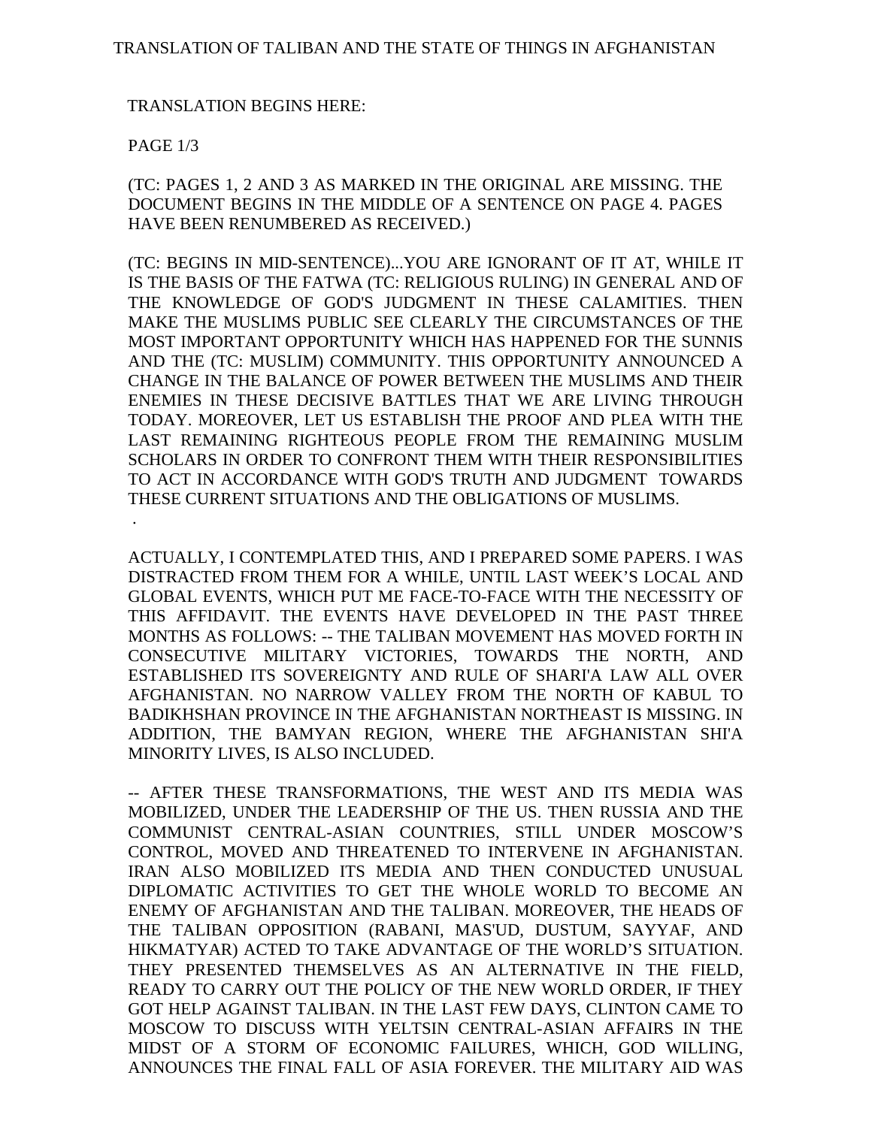## TRANSLATION BEGINS HERE:

## PAGE 1/3

.

(TC: PAGES 1, 2 AND 3 AS MARKED IN THE ORIGINAL ARE MISSING. THE DOCUMENT BEGINS IN THE MIDDLE OF A SENTENCE ON PAGE 4. PAGES HAVE BEEN RENUMBERED AS RECEIVED.)

(TC: BEGINS IN MID-SENTENCE)...YOU ARE IGNORANT OF IT AT, WHILE IT IS THE BASIS OF THE FATWA (TC: RELIGIOUS RULING) IN GENERAL AND OF THE KNOWLEDGE OF GOD'S JUDGMENT IN THESE CALAMITIES. THEN MAKE THE MUSLIMS PUBLIC SEE CLEARLY THE CIRCUMSTANCES OF THE MOST IMPORTANT OPPORTUNITY WHICH HAS HAPPENED FOR THE SUNNIS AND THE (TC: MUSLIM) COMMUNITY. THIS OPPORTUNITY ANNOUNCED A CHANGE IN THE BALANCE OF POWER BETWEEN THE MUSLIMS AND THEIR ENEMIES IN THESE DECISIVE BATTLES THAT WE ARE LIVING THROUGH TODAY. MOREOVER, LET US ESTABLISH THE PROOF AND PLEA WITH THE LAST REMAINING RIGHTEOUS PEOPLE FROM THE REMAINING MUSLIM SCHOLARS IN ORDER TO CONFRONT THEM WITH THEIR RESPONSIBILITIES TO ACT IN ACCORDANCE WITH GOD'S TRUTH AND JUDGMENT TOWARDS THESE CURRENT SITUATIONS AND THE OBLIGATIONS OF MUSLIMS.

ACTUALLY, I CONTEMPLATED THIS, AND I PREPARED SOME PAPERS. I WAS DISTRACTED FROM THEM FOR A WHILE, UNTIL LAST WEEK'S LOCAL AND GLOBAL EVENTS, WHICH PUT ME FACE-TO-FACE WITH THE NECESSITY OF THIS AFFIDAVIT. THE EVENTS HAVE DEVELOPED IN THE PAST THREE MONTHS AS FOLLOWS: -- THE TALIBAN MOVEMENT HAS MOVED FORTH IN CONSECUTIVE MILITARY VICTORIES, TOWARDS THE NORTH, AND ESTABLISHED ITS SOVEREIGNTY AND RULE OF SHARI'A LAW ALL OVER AFGHANISTAN. NO NARROW VALLEY FROM THE NORTH OF KABUL TO BADIKHSHAN PROVINCE IN THE AFGHANISTAN NORTHEAST IS MISSING. IN ADDITION, THE BAMYAN REGION, WHERE THE AFGHANISTAN SHI'A MINORITY LIVES, IS ALSO INCLUDED.

-- AFTER THESE TRANSFORMATIONS, THE WEST AND ITS MEDIA WAS MOBILIZED, UNDER THE LEADERSHIP OF THE US. THEN RUSSIA AND THE COMMUNIST CENTRAL-ASIAN COUNTRIES, STILL UNDER MOSCOW'S CONTROL, MOVED AND THREATENED TO INTERVENE IN AFGHANISTAN. IRAN ALSO MOBILIZED ITS MEDIA AND THEN CONDUCTED UNUSUAL DIPLOMATIC ACTIVITIES TO GET THE WHOLE WORLD TO BECOME AN ENEMY OF AFGHANISTAN AND THE TALIBAN. MOREOVER, THE HEADS OF THE TALIBAN OPPOSITION (RABANI, MAS'UD, DUSTUM, SAYYAF, AND HIKMATYAR) ACTED TO TAKE ADVANTAGE OF THE WORLD'S SITUATION. THEY PRESENTED THEMSELVES AS AN ALTERNATIVE IN THE FIELD, READY TO CARRY OUT THE POLICY OF THE NEW WORLD ORDER, IF THEY GOT HELP AGAINST TALIBAN. IN THE LAST FEW DAYS, CLINTON CAME TO MOSCOW TO DISCUSS WITH YELTSIN CENTRAL-ASIAN AFFAIRS IN THE MIDST OF A STORM OF ECONOMIC FAILURES, WHICH, GOD WILLING, ANNOUNCES THE FINAL FALL OF ASIA FOREVER. THE MILITARY AID WAS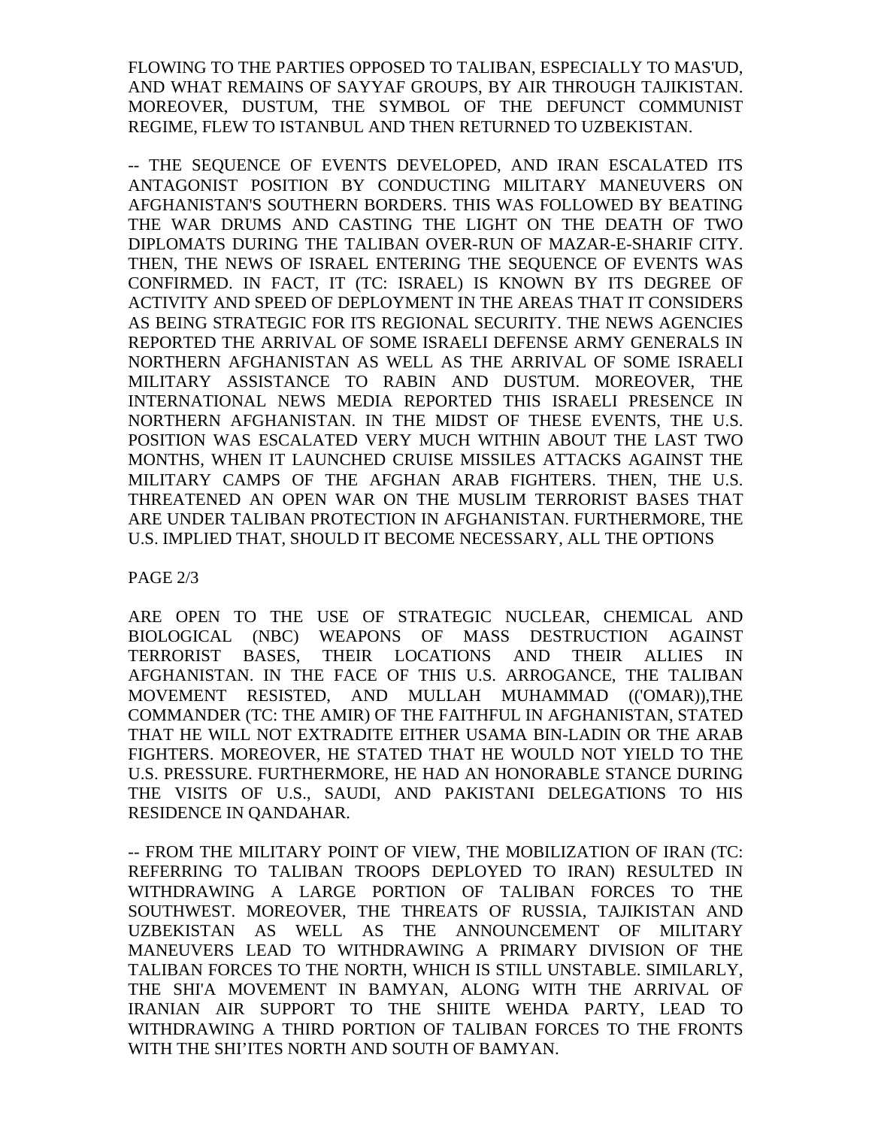FLOWING TO THE PARTIES OPPOSED TO TALIBAN, ESPECIALLY TO MAS'UD, AND WHAT REMAINS OF SAYYAF GROUPS, BY AIR THROUGH TAJIKISTAN. MOREOVER, DUSTUM, THE SYMBOL OF THE DEFUNCT COMMUNIST REGIME, FLEW TO ISTANBUL AND THEN RETURNED TO UZBEKISTAN.

-- THE SEQUENCE OF EVENTS DEVELOPED, AND IRAN ESCALATED ITS ANTAGONIST POSITION BY CONDUCTING MILITARY MANEUVERS ON AFGHANISTAN'S SOUTHERN BORDERS. THIS WAS FOLLOWED BY BEATING THE WAR DRUMS AND CASTING THE LIGHT ON THE DEATH OF TWO DIPLOMATS DURING THE TALIBAN OVER-RUN OF MAZAR-E-SHARIF CITY. THEN, THE NEWS OF ISRAEL ENTERING THE SEQUENCE OF EVENTS WAS CONFIRMED. IN FACT, IT (TC: ISRAEL) IS KNOWN BY ITS DEGREE OF ACTIVITY AND SPEED OF DEPLOYMENT IN THE AREAS THAT IT CONSIDERS AS BEING STRATEGIC FOR ITS REGIONAL SECURITY. THE NEWS AGENCIES REPORTED THE ARRIVAL OF SOME ISRAELI DEFENSE ARMY GENERALS IN NORTHERN AFGHANISTAN AS WELL AS THE ARRIVAL OF SOME ISRAELI MILITARY ASSISTANCE TO RABIN AND DUSTUM. MOREOVER, THE INTERNATIONAL NEWS MEDIA REPORTED THIS ISRAELI PRESENCE IN NORTHERN AFGHANISTAN. IN THE MIDST OF THESE EVENTS, THE U.S. POSITION WAS ESCALATED VERY MUCH WITHIN ABOUT THE LAST TWO MONTHS, WHEN IT LAUNCHED CRUISE MISSILES ATTACKS AGAINST THE MILITARY CAMPS OF THE AFGHAN ARAB FIGHTERS. THEN, THE U.S. THREATENED AN OPEN WAR ON THE MUSLIM TERRORIST BASES THAT ARE UNDER TALIBAN PROTECTION IN AFGHANISTAN. FURTHERMORE, THE U.S. IMPLIED THAT, SHOULD IT BECOME NECESSARY, ALL THE OPTIONS

PAGE 2/3

ARE OPEN TO THE USE OF STRATEGIC NUCLEAR, CHEMICAL AND BIOLOGICAL (NBC) WEAPONS OF MASS DESTRUCTION AGAINST TERRORIST BASES, THEIR LOCATIONS AND THEIR ALLIES IN AFGHANISTAN. IN THE FACE OF THIS U.S. ARROGANCE, THE TALIBAN MOVEMENT RESISTED, AND MULLAH MUHAMMAD (('OMAR)),THE COMMANDER (TC: THE AMIR) OF THE FAITHFUL IN AFGHANISTAN, STATED THAT HE WILL NOT EXTRADITE EITHER USAMA BIN-LADIN OR THE ARAB FIGHTERS. MOREOVER, HE STATED THAT HE WOULD NOT YIELD TO THE U.S. PRESSURE. FURTHERMORE, HE HAD AN HONORABLE STANCE DURING THE VISITS OF U.S., SAUDI, AND PAKISTANI DELEGATIONS TO HIS RESIDENCE IN QANDAHAR.

-- FROM THE MILITARY POINT OF VIEW, THE MOBILIZATION OF IRAN (TC: REFERRING TO TALIBAN TROOPS DEPLOYED TO IRAN) RESULTED IN WITHDRAWING A LARGE PORTION OF TALIBAN FORCES TO THE SOUTHWEST. MOREOVER, THE THREATS OF RUSSIA, TAJIKISTAN AND UZBEKISTAN AS WELL AS THE ANNOUNCEMENT OF MILITARY MANEUVERS LEAD TO WITHDRAWING A PRIMARY DIVISION OF THE TALIBAN FORCES TO THE NORTH, WHICH IS STILL UNSTABLE. SIMILARLY, THE SHI'A MOVEMENT IN BAMYAN, ALONG WITH THE ARRIVAL OF IRANIAN AIR SUPPORT TO THE SHIITE WEHDA PARTY, LEAD TO WITHDRAWING A THIRD PORTION OF TALIBAN FORCES TO THE FRONTS WITH THE SHI'ITES NORTH AND SOUTH OF BAMYAN.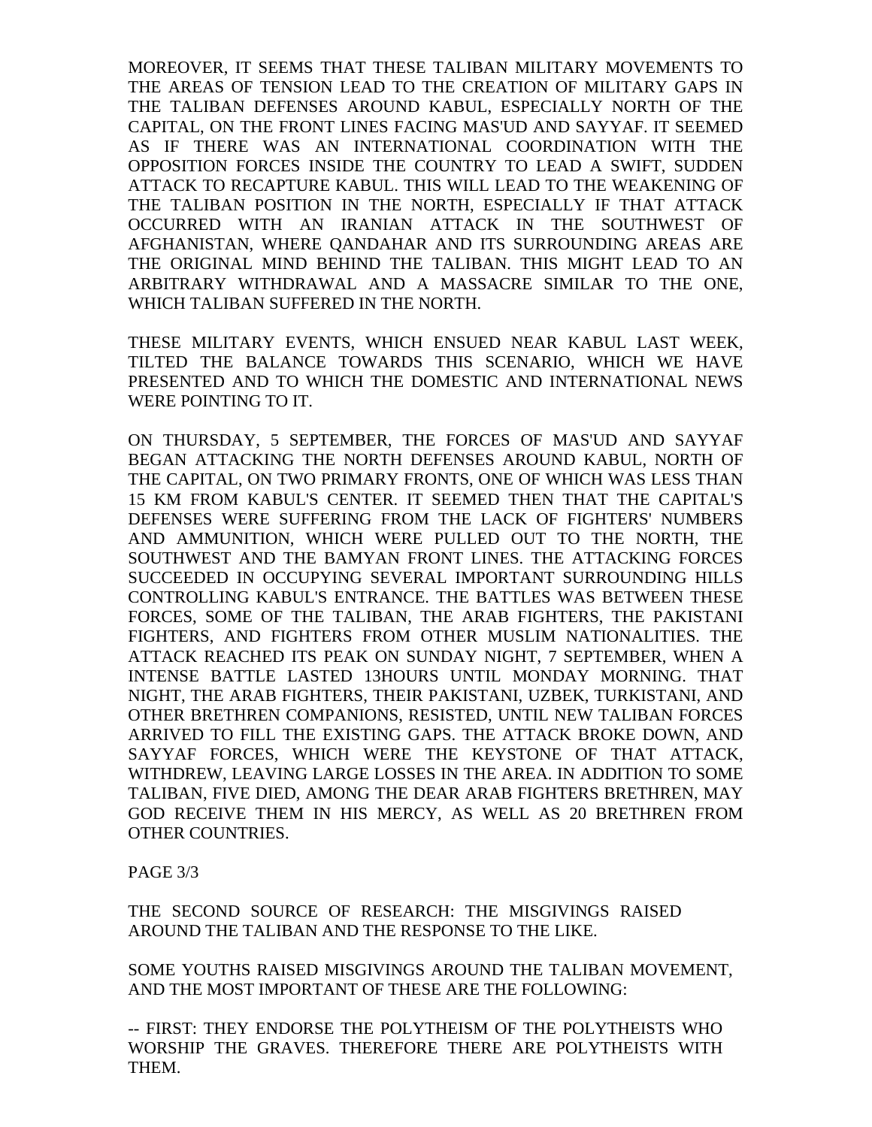MOREOVER, IT SEEMS THAT THESE TALIBAN MILITARY MOVEMENTS TO THE AREAS OF TENSION LEAD TO THE CREATION OF MILITARY GAPS IN THE TALIBAN DEFENSES AROUND KABUL, ESPECIALLY NORTH OF THE CAPITAL, ON THE FRONT LINES FACING MAS'UD AND SAYYAF. IT SEEMED AS IF THERE WAS AN INTERNATIONAL COORDINATION WITH THE OPPOSITION FORCES INSIDE THE COUNTRY TO LEAD A SWIFT, SUDDEN ATTACK TO RECAPTURE KABUL. THIS WILL LEAD TO THE WEAKENING OF THE TALIBAN POSITION IN THE NORTH, ESPECIALLY IF THAT ATTACK OCCURRED WITH AN IRANIAN ATTACK IN THE SOUTHWEST OF AFGHANISTAN, WHERE QANDAHAR AND ITS SURROUNDING AREAS ARE THE ORIGINAL MIND BEHIND THE TALIBAN. THIS MIGHT LEAD TO AN ARBITRARY WITHDRAWAL AND A MASSACRE SIMILAR TO THE ONE, WHICH TALIBAN SUFFERED IN THE NORTH.

THESE MILITARY EVENTS, WHICH ENSUED NEAR KABUL LAST WEEK, TILTED THE BALANCE TOWARDS THIS SCENARIO, WHICH WE HAVE PRESENTED AND TO WHICH THE DOMESTIC AND INTERNATIONAL NEWS WERE POINTING TO IT.

ON THURSDAY, 5 SEPTEMBER, THE FORCES OF MAS'UD AND SAYYAF BEGAN ATTACKING THE NORTH DEFENSES AROUND KABUL, NORTH OF THE CAPITAL, ON TWO PRIMARY FRONTS, ONE OF WHICH WAS LESS THAN 15 KM FROM KABUL'S CENTER. IT SEEMED THEN THAT THE CAPITAL'S DEFENSES WERE SUFFERING FROM THE LACK OF FIGHTERS' NUMBERS AND AMMUNITION, WHICH WERE PULLED OUT TO THE NORTH, THE SOUTHWEST AND THE BAMYAN FRONT LINES. THE ATTACKING FORCES SUCCEEDED IN OCCUPYING SEVERAL IMPORTANT SURROUNDING HILLS CONTROLLING KABUL'S ENTRANCE. THE BATTLES WAS BETWEEN THESE FORCES, SOME OF THE TALIBAN, THE ARAB FIGHTERS, THE PAKISTANI FIGHTERS, AND FIGHTERS FROM OTHER MUSLIM NATIONALITIES. THE ATTACK REACHED ITS PEAK ON SUNDAY NIGHT, 7 SEPTEMBER, WHEN A INTENSE BATTLE LASTED 13HOURS UNTIL MONDAY MORNING. THAT NIGHT, THE ARAB FIGHTERS, THEIR PAKISTANI, UZBEK, TURKISTANI, AND OTHER BRETHREN COMPANIONS, RESISTED, UNTIL NEW TALIBAN FORCES ARRIVED TO FILL THE EXISTING GAPS. THE ATTACK BROKE DOWN, AND SAYYAF FORCES, WHICH WERE THE KEYSTONE OF THAT ATTACK, WITHDREW, LEAVING LARGE LOSSES IN THE AREA. IN ADDITION TO SOME TALIBAN, FIVE DIED, AMONG THE DEAR ARAB FIGHTERS BRETHREN, MAY GOD RECEIVE THEM IN HIS MERCY, AS WELL AS 20 BRETHREN FROM OTHER COUNTRIES.

PAGE 3/3

THE SECOND SOURCE OF RESEARCH: THE MISGIVINGS RAISED AROUND THE TALIBAN AND THE RESPONSE TO THE LIKE.

SOME YOUTHS RAISED MISGIVINGS AROUND THE TALIBAN MOVEMENT, AND THE MOST IMPORTANT OF THESE ARE THE FOLLOWING:

-- FIRST: THEY ENDORSE THE POLYTHEISM OF THE POLYTHEISTS WHO WORSHIP THE GRAVES. THEREFORE THERE ARE POLYTHEISTS WITH THEM.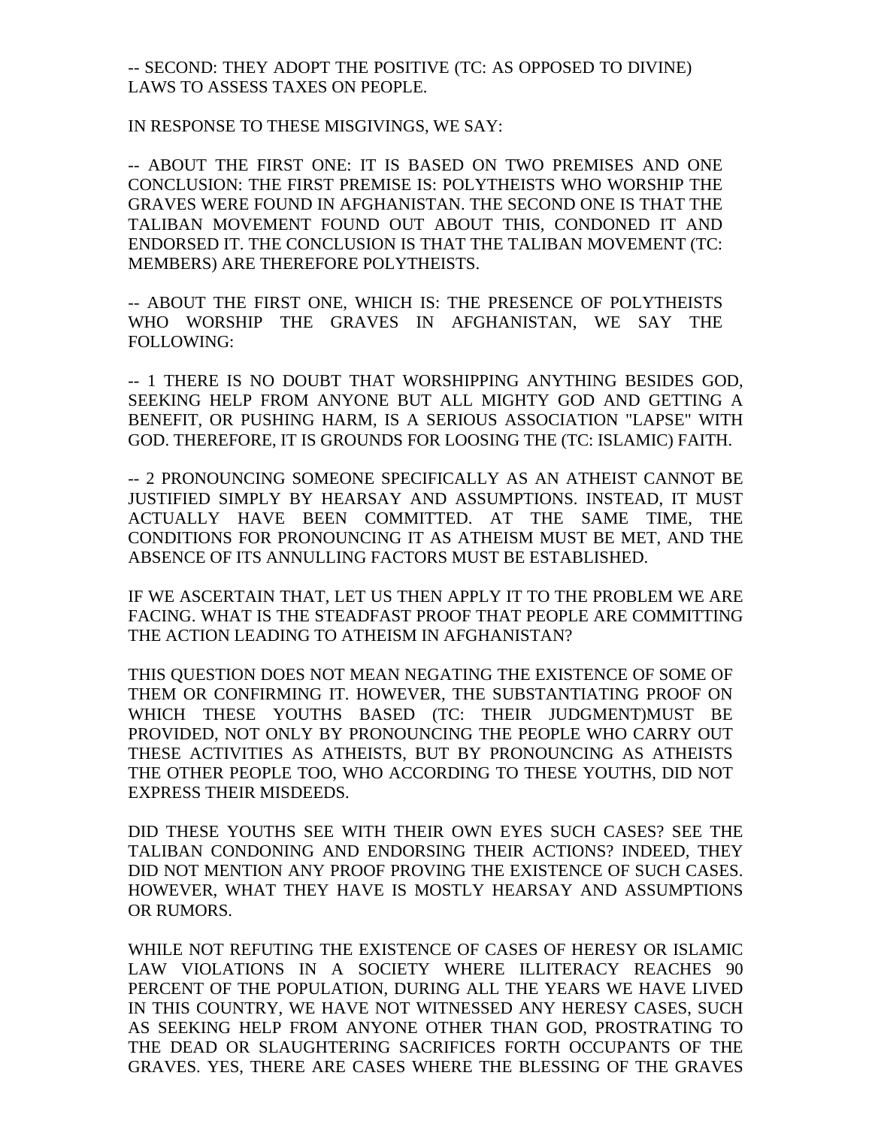-- SECOND: THEY ADOPT THE POSITIVE (TC: AS OPPOSED TO DIVINE) LAWS TO ASSESS TAXES ON PEOPLE.

IN RESPONSE TO THESE MISGIVINGS, WE SAY:

-- ABOUT THE FIRST ONE: IT IS BASED ON TWO PREMISES AND ONE CONCLUSION: THE FIRST PREMISE IS: POLYTHEISTS WHO WORSHIP THE GRAVES WERE FOUND IN AFGHANISTAN. THE SECOND ONE IS THAT THE TALIBAN MOVEMENT FOUND OUT ABOUT THIS, CONDONED IT AND ENDORSED IT. THE CONCLUSION IS THAT THE TALIBAN MOVEMENT (TC: MEMBERS) ARE THEREFORE POLYTHEISTS.

-- ABOUT THE FIRST ONE, WHICH IS: THE PRESENCE OF POLYTHEISTS WHO WORSHIP THE GRAVES IN AFGHANISTAN, WE SAY THE FOLLOWING:

-- 1 THERE IS NO DOUBT THAT WORSHIPPING ANYTHING BESIDES GOD, SEEKING HELP FROM ANYONE BUT ALL MIGHTY GOD AND GETTING A BENEFIT, OR PUSHING HARM, IS A SERIOUS ASSOCIATION "LAPSE" WITH GOD. THEREFORE, IT IS GROUNDS FOR LOOSING THE (TC: ISLAMIC) FAITH.

-- 2 PRONOUNCING SOMEONE SPECIFICALLY AS AN ATHEIST CANNOT BE JUSTIFIED SIMPLY BY HEARSAY AND ASSUMPTIONS. INSTEAD, IT MUST ACTUALLY HAVE BEEN COMMITTED. AT THE SAME TIME, THE CONDITIONS FOR PRONOUNCING IT AS ATHEISM MUST BE MET, AND THE ABSENCE OF ITS ANNULLING FACTORS MUST BE ESTABLISHED.

IF WE ASCERTAIN THAT, LET US THEN APPLY IT TO THE PROBLEM WE ARE FACING. WHAT IS THE STEADFAST PROOF THAT PEOPLE ARE COMMITTING THE ACTION LEADING TO ATHEISM IN AFGHANISTAN?

THIS QUESTION DOES NOT MEAN NEGATING THE EXISTENCE OF SOME OF THEM OR CONFIRMING IT. HOWEVER, THE SUBSTANTIATING PROOF ON WHICH THESE YOUTHS BASED (TC: THEIR JUDGMENT)MUST BE PROVIDED, NOT ONLY BY PRONOUNCING THE PEOPLE WHO CARRY OUT THESE ACTIVITIES AS ATHEISTS, BUT BY PRONOUNCING AS ATHEISTS THE OTHER PEOPLE TOO, WHO ACCORDING TO THESE YOUTHS, DID NOT EXPRESS THEIR MISDEEDS.

DID THESE YOUTHS SEE WITH THEIR OWN EYES SUCH CASES? SEE THE TALIBAN CONDONING AND ENDORSING THEIR ACTIONS? INDEED, THEY DID NOT MENTION ANY PROOF PROVING THE EXISTENCE OF SUCH CASES. HOWEVER, WHAT THEY HAVE IS MOSTLY HEARSAY AND ASSUMPTIONS OR RUMORS.

WHILE NOT REFUTING THE EXISTENCE OF CASES OF HERESY OR ISLAMIC LAW VIOLATIONS IN A SOCIETY WHERE ILLITERACY REACHES 90 PERCENT OF THE POPULATION, DURING ALL THE YEARS WE HAVE LIVED IN THIS COUNTRY, WE HAVE NOT WITNESSED ANY HERESY CASES, SUCH AS SEEKING HELP FROM ANYONE OTHER THAN GOD, PROSTRATING TO THE DEAD OR SLAUGHTERING SACRIFICES FORTH OCCUPANTS OF THE GRAVES. YES, THERE ARE CASES WHERE THE BLESSING OF THE GRAVES